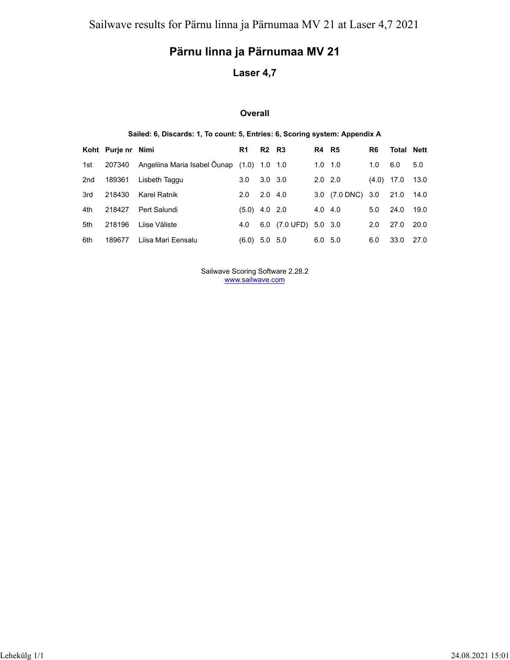# **Pärnu linna ja Pärnumaa MV 21**

### **Laser 4,7**

#### **Overall**

#### **Sailed: 6, Discards: 1, To count: 5, Entries: 6, Scoring system: Appendix A**

|     | Koht Purje nr Nimi |                                            | R1              | <b>R2</b> R3   |                       | <b>R4 R5</b>    |                   | R6           | <b>Total Nett</b> |        |
|-----|--------------------|--------------------------------------------|-----------------|----------------|-----------------------|-----------------|-------------------|--------------|-------------------|--------|
| 1st | 207340             | Angeliina Maria Isabel Õunap (1.0) 1.0 1.0 |                 |                |                       | $1.0 \quad 1.0$ |                   | 1.0          | 6.0               | 5.0    |
| 2nd | 189361             | Lisbeth Taggu                              | 3.0             | $3.0\quad 3.0$ |                       | $2.0\quad 2.0$  |                   | $(4.0)$ 17.0 |                   | 13.0   |
| 3rd | 218430             | Karel Ratnik                               | 2.0             | $2.0\quad 4.0$ |                       |                 | 3.0 (7.0 DNC) 3.0 |              | 21.0              | - 14.0 |
| 4th | 218427             | Pert Salundi                               | $(5.0)$ 4.0 2.0 |                |                       | $4.0\quad 4.0$  |                   | 5.0          | 24.0              | 19.0   |
| 5th | 218196             | Liise Väliste                              | 4.0             |                | 6.0 (7.0 UFD) 5.0 3.0 |                 |                   | 2.0          | 27.0              | 20.0   |
| 6th | 189677             | Liisa Mari Eensalu                         | $(6.0)$ 5.0 5.0 |                |                       | 6.0 5.0         |                   | 6.0          | 33.0              | 27.0   |

Sailwave Scoring Software 2.28.2 www.sailwave.com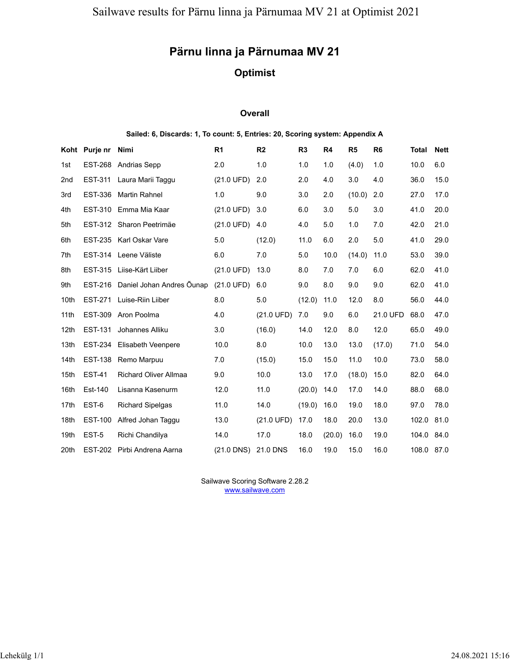# **Pärnu linna ja Pärnumaa MV 21**

## **Optimist**

#### **Overall**

#### **Sailed: 6, Discards: 1, To count: 5, Entries: 20, Scoring system: Appendix A**

|      | Koht Purje nr  | <b>Nimi</b>                  | R <sub>1</sub>       | R <sub>2</sub>       | R <sub>3</sub> | R4     | R <sub>5</sub> | R <sub>6</sub> | Total      | <b>Nett</b> |
|------|----------------|------------------------------|----------------------|----------------------|----------------|--------|----------------|----------------|------------|-------------|
| 1st  | <b>EST-268</b> | <b>Andrias Sepp</b>          | 2.0                  | 1.0                  | 1.0            | 1.0    | (4.0)          | 1.0            | 10.0       | 6.0         |
| 2nd  | EST-311        | Laura Marii Taggu            | (21.0 UFD)           | 2.0                  | 2.0            | 4.0    | 3.0            | 4.0            | 36.0       | 15.0        |
| 3rd  | <b>EST-336</b> | <b>Martin Rahnel</b>         | 1.0                  | 9.0                  | 3.0            | 2.0    | (10.0)         | 2.0            | 27.0       | 17.0        |
| 4th  |                | EST-310 Emma Mia Kaar        | $(21.0 \text{ UFD})$ | 3.0                  | 6.0            | 3.0    | 5.0            | 3.0            | 41.0       | 20.0        |
| 5th  |                | EST-312 Sharon Peetrimäe     | $(21.0 \text{ UFD})$ | 4.0                  | 4.0            | 5.0    | 1.0            | 7.0            | 42.0       | 21.0        |
| 6th  |                | EST-235 Karl Oskar Vare      | 5.0                  | (12.0)               | 11.0           | 6.0    | 2.0            | 5.0            | 41.0       | 29.0        |
| 7th  |                | EST-314 Leene Väliste        | 6.0                  | 7.0                  | 5.0            | 10.0   | (14.0)         | 11.0           | 53.0       | 39.0        |
| 8th  | <b>EST-315</b> | Liise-Kärt Liiber            | $(21.0 \text{ UFD})$ | 13.0                 | 8.0            | 7.0    | 7.0            | 6.0            | 62.0       | 41.0        |
| 9th  | EST-216        | Daniel Johan Andres Õunap    | $(21.0 \text{ UFD})$ | 6.0                  | 9.0            | 8.0    | 9.0            | 9.0            | 62.0       | 41.0        |
| 10th | EST-271        | Luise-Riin Liiber            | 8.0                  | 5.0                  | (12.0)         | 11.0   | 12.0           | 8.0            | 56.0       | 44.0        |
| 11th | <b>EST-309</b> | Aron Poolma                  | 4.0                  | (21.0 UFD)           | 7.0            | 9.0    | 6.0            | 21.0 UFD       | 68.0       | 47.0        |
| 12th | <b>EST-131</b> | Johannes Alliku              | 3.0                  | (16.0)               | 14.0           | 12.0   | 8.0            | 12.0           | 65.0       | 49.0        |
| 13th | <b>EST-234</b> | <b>Elisabeth Veenpere</b>    | 10.0                 | 8.0                  | 10.0           | 13.0   | 13.0           | (17.0)         | 71.0       | 54.0        |
| 14th | <b>EST-138</b> | Remo Marpuu                  | 7.0                  | (15.0)               | 15.0           | 15.0   | 11.0           | 10.0           | 73.0       | 58.0        |
| 15th | <b>EST-41</b>  | <b>Richard Oliver Allmaa</b> | 9.0                  | 10.0                 | 13.0           | 17.0   | (18.0)         | 15.0           | 82.0       | 64.0        |
| 16th | Est-140        | Lisanna Kasenurm             | 12.0                 | 11.0                 | (20.0)         | 14.0   | 17.0           | 14.0           | 88.0       | 68.0        |
| 17th | EST-6          | <b>Richard Sipelgas</b>      | 11.0                 | 14.0                 | (19.0)         | 16.0   | 19.0           | 18.0           | 97.0       | 78.0        |
| 18th | <b>EST-100</b> | Alfred Johan Taggu           | 13.0                 | $(21.0 \text{ UFD})$ | 17.0           | 18.0   | 20.0           | 13.0           | 102.0      | 81.0        |
| 19th | EST-5          | Richi Chandilya              | 14.0                 | 17.0                 | 18.0           | (20.0) | 16.0           | 19.0           | 104.0      | 84.0        |
| 20th |                | EST-202 Pirbi Andrena Aarna  | $(21.0$ DNS)         | 21.0 DNS             | 16.0           | 19.0   | 15.0           | 16.0           | 108.0 87.0 |             |

Sailwave Scoring Software 2.28.2 www.sailwave.com